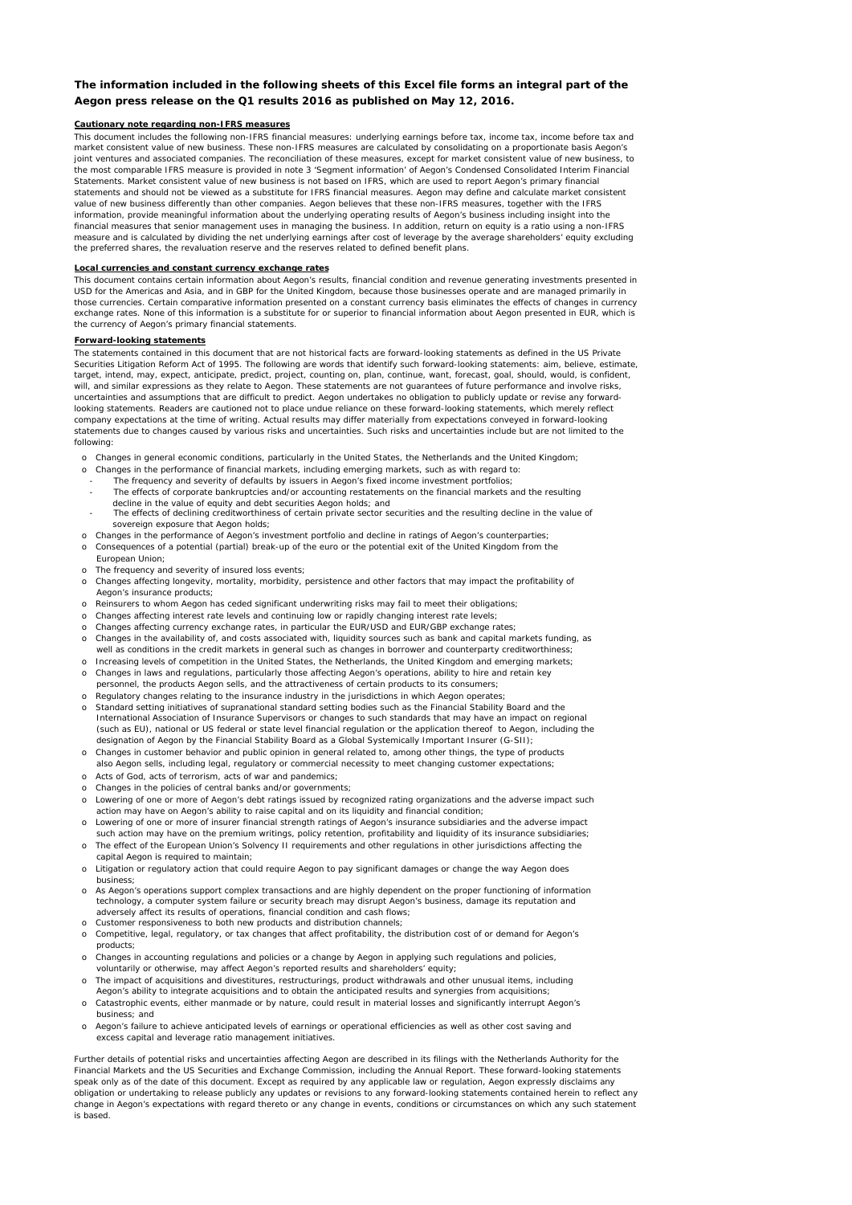### **The information included in the following sheets of this Excel file forms an integral part of the Aegon press release on the Q1 results 2016 as published on May 12, 2016.**

### **Cautionary note regarding non-IFRS measures**

This document includes the following non-IFRS financial measures: underlying earnings before tax, income tax, income before tax and market consistent value of new business. These non-IFRS measures are calculated by consolidating on a proportionate basis Aegon's joint ventures and associated companies. The reconciliation of these measures, except for market consistent value of new business, to the most comparable IFRS measure is provided in note 3 'Segment information' of Aegon's Condensed Consolidated Interim Financial Statements. Market consistent value of new business is not based on IFRS, which are used to report Aegon's primary financial statements and should not be viewed as a substitute for IFRS financial measures. Aegon may define and calculate market consistent value of new business differently than other companies. Aegon believes that these non-IFRS measures, together with the IFRS information, provide meaningful information about the underlying operating results of Aegon's business including insight into the financial measures that senior management uses in managing the business. In addition, return on equity is a ratio using a non-IFRS<br>measure and is calculated by dividing the net underlying earnings after cost of leverage by the preferred shares, the revaluation reserve and the reserves related to defined benefit plans.

#### **Local currencies and constant currency exchange rates**

This document contains certain information about Aegon's results, financial condition and revenue generating investments presented in USD for the Americas and Asia, and in GBP for the United Kingdom, because those businesses operate and are managed primarily in those currencies. Certain comparative information presented on a constant currency basis eliminates the effects of changes in currency exchange rates. None of this information is a substitute for or superior to financial information about Aegon presented in EUR, which is the currency of Aegon's primary financial statements.

#### **Forward-looking statements**

The statements contained in this document that are not historical facts are forward-looking statements as defined in the US Private Securities Litigation Reform Act of 1995. The following are words that identify such forward-looking statements: aim, believe, estimate, target, intend, may, expect, anticipate, predict, project, counting on, plan, continue, want, forecast, goal, should, would, is confident, will, and similar expressions as they relate to Aegon. These statements are not guarantees of future performance and involve risks, uncertainties and assumptions that are difficult to predict. Aegon undertakes no obligation to publicly update or revise any forwardlooking statements. Readers are cautioned not to place undue reliance on these forward-looking statements, which merely reflect company expectations at the time of writing. Actual results may differ materially from expectations conveyed in forward-looking statements due to changes caused by various risks and uncertainties. Such risks and uncertainties include but are not limited to the following:

- o Changes in general economic conditions, particularly in the United States, the Netherlands and the United Kingdom;
- o Changes in the performance of financial markets, including emerging markets, such as with regard to:
- The frequency and severity of defaults by issuers in Aegon's fixed income investment portfolios;
- The effects of corporate bankruptcies and/or accounting restatements on the financial markets and the resulting decline in the value of equity and debt securities Aegon holds; and
- The effects of declining creditworthiness of certain private sector securities and the resulting decline in the value of sovereign exposure that Aegon holds;
- o Changes in the performance of Aegon's investment portfolio and decline in ratings of Aegon's counterparties;
- o Consequences of a potential (partial) break-up of the euro or the potential exit of the United Kingdom from the European Union;
- o The frequency and severity of insured loss events;
- o Changes affecting longevity, mortality, morbidity, persistence and other factors that may impact the profitability of Aegon's insurance products;
- o Reinsurers to whom Aegon has ceded significant underwriting risks may fail to meet their obligations;
- o Changes affecting interest rate levels and continuing low or rapidly changing interest rate levels;
- o Changes affecting currency exchange rates, in particular the EUR/USD and EUR/GBP exchange rates;
- o Changes in the availability of, and costs associated with, liquidity sources such as bank and capital markets funding, as well as conditions in the credit markets in general such as changes in borrower and counterparty creditworthiness
- o Increasing levels of competition in the United States, the Netherlands, the United Kingdom and emerging markets; o Changes in laws and regulations, particularly those affecting Aegon's operations, ability to hire and retain key
- personnel, the products Aegon sells, and the attractiveness of certain products to its consumers; o Regulatory changes relating to the insurance industry in the jurisdictions in which Aegon operates;
- o Standard setting initiatives of supranational standard setting bodies such as the Financial Stability Board and the International Association of Insurance Supervisors or changes to such standards that may have an impact on regional (such as EU), national or US federal or state level financial regulation or the application thereof to Aegon, including the designation of Aegon by the Financial Stability Board as a Global Systemically Important Insurer (G-SII);
- o Changes in customer behavior and public opinion in general related to, among other things, the type of products also Aegon sells, including legal, regulatory or commercial necessity to meet changing customer expectations;
- o Acts of God, acts of terrorism, acts of war and pandemics; o Changes in the policies of central banks and/or governments;
- o Lowering of one or more of Aegon's debt ratings issued by recognized rating organizations and the adverse impact such action may have on Aegon's ability to raise capital and on its liquidity and financial condition;
- o Lowering of one or more of insurer financial strength ratings of Aegon's insurance subsidiaries and the adverse impact such action may have on the premium writings, policy retention, profitability and liquidity of its insurance subsidiaries;
- o The effect of the European Union's Solvency II requirements and other regulations in other jurisdictions affecting the capital Aegon is required to maintain;
- o Litigation or regulatory action that could require Aegon to pay significant damages or change the way Aegon does business;
- o As Aegon's operations support complex transactions and are highly dependent on the proper functioning of information technology, a computer system failure or security breach may disrupt Aegon's business, damage its reputation and adversely affect its results of operations, financial condition and cash flows;
- o Customer responsiveness to both new products and distribution channels;
- o Competitive, legal, regulatory, or tax changes that affect profitability, the distribution cost of or demand for Aegon's products;
- o Changes in accounting regulations and policies or a change by Aegon in applying such regulations and policies, voluntarily or otherwise, may affect Aegon's reported results and shareholders' equity;
- Catastrophic events, either manmade or by nature, could result in material losses and significantly interrupt Aegon's o The impact of acquisitions and divestitures, restructurings, product withdrawals and other unusual items, including Aegon's ability to integrate acquisitions and to obtain the anticipated results and synergies from acquisitions
- business; and
- o Aegon's failure to achieve anticipated levels of earnings or operational efficiencies as well as other cost saving and excess capital and leverage ratio management initiatives.

Further details of potential risks and uncertainties affecting Aegon are described in its filings with the Netherlands Authority for the Financial Markets and the US Securities and Exchange Commission, including the Annual Report. These forward-looking statements speak only as of the date of this document. Except as required by any applicable law or regulation, Aegon expressly disclaims any obligation or undertaking to release publicly any updates or revisions to any forward-looking statements contained herein to reflect any change in Aegon's expectations with regard thereto or any change in events, conditions or circumstances on which any such statement is based.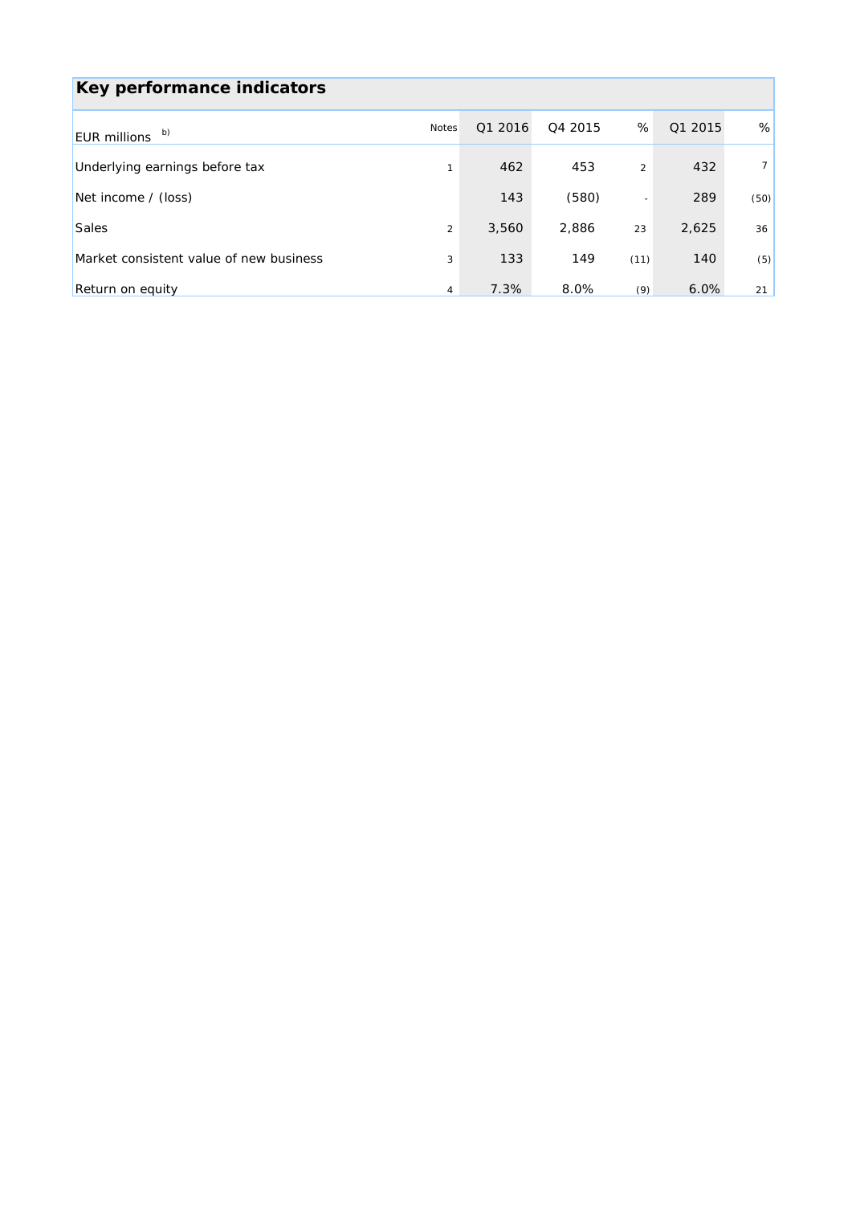| Key performance indicators              |                |         |                     |                |         |      |
|-----------------------------------------|----------------|---------|---------------------|----------------|---------|------|
| $EUR$ millions $b)$                     | <b>Notes</b>   | Q1 2016 | O <sub>4</sub> 2015 | %              | Q1 2015 | %    |
| Underlying earnings before tax          | 1              | 462     | 453                 | $\overline{2}$ | 432     | 7    |
| Net income / (loss)                     |                | 143     | (580)               |                | 289     | (50) |
| Sales                                   | $\overline{a}$ | 3,560   | 2,886               | 23             | 2,625   | 36   |
| Market consistent value of new business | 3              | 133     | 149                 | (11)           | 140     | (5)  |
| Return on equity                        | 4              | 7.3%    | 8.0%                | (9)            | 6.0%    | 21   |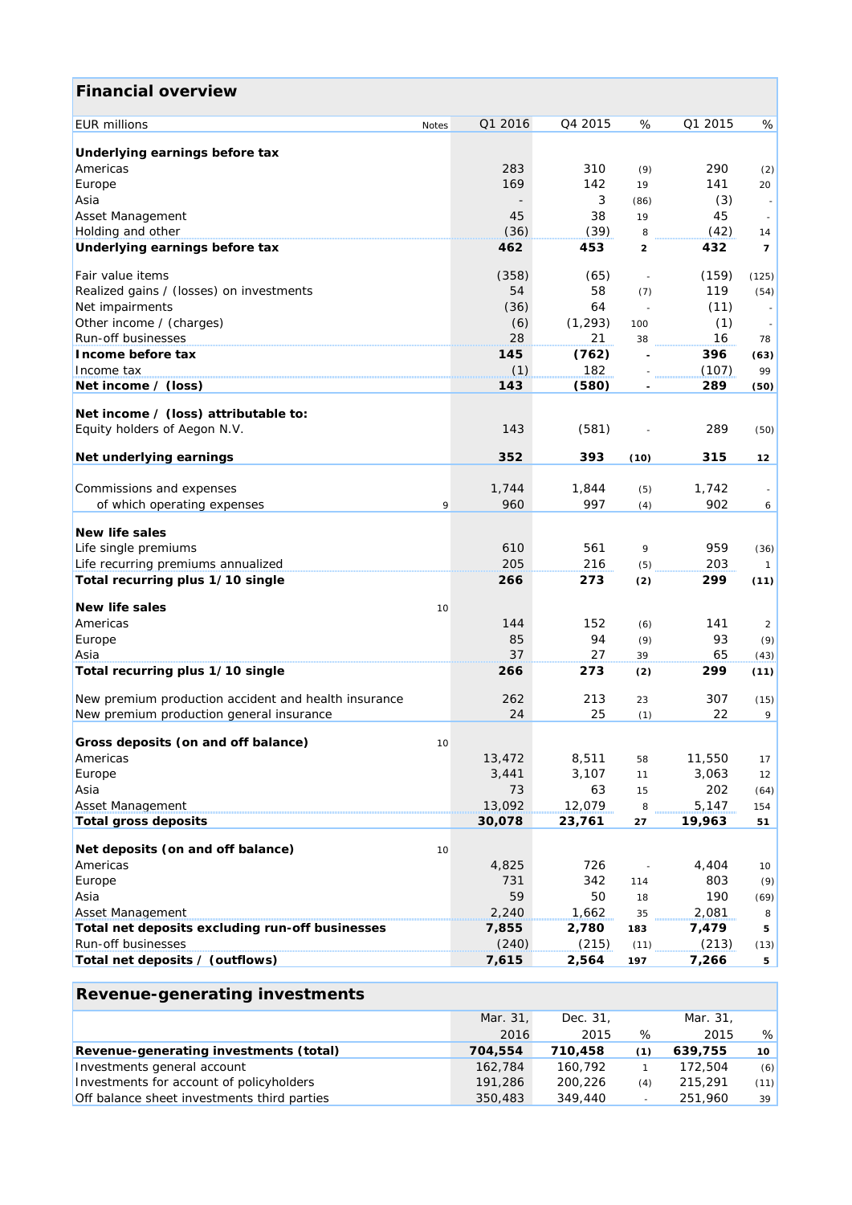| <b>Financial overview</b>                             |         |          |                          |         |                |
|-------------------------------------------------------|---------|----------|--------------------------|---------|----------------|
| <b>EUR</b> millions<br>Notes                          | Q1 2016 | Q4 2015  | $\%$                     | Q1 2015 | $\%$           |
| Underlying earnings before tax                        |         |          |                          |         |                |
| Americas                                              | 283     | 310      | (9)                      | 290     | (2)            |
| Europe                                                | 169     | 142      | 19                       | 141     | 20             |
| Asia                                                  |         | 3        | (86)                     | (3)     |                |
| Asset Management                                      | 45      | 38       | 19                       | 45      |                |
| Holding and other                                     | (36)    | (39)     | 8                        | (42)    | 14             |
| Underlying earnings before tax                        | 462     | 453      | $\overline{z}$           | 432     | $\overline{z}$ |
|                                                       |         |          |                          |         |                |
| Fair value items                                      | (358)   | (65)     | $\overline{\phantom{a}}$ | (159)   | (125)          |
| Realized gains / (losses) on investments              | 54      | 58       | (7)                      | 119     | (54)           |
| Net impairments                                       | (36)    | 64       | $\bar{z}$                | (11)    |                |
| Other income / (charges)                              | (6)     | (1, 293) | 100                      | (1)     |                |
| Run-off businesses                                    | 28      | 21       | 38                       | 16      | 78             |
| Income before tax                                     | 145     | (762)    |                          | 396     | (63)           |
| Income tax                                            | (1)     | 182      |                          | (107)   | 99             |
| Net income / (loss)                                   | 143     | (580)    |                          | 289     | (50)           |
|                                                       |         |          |                          |         |                |
| Net income / (loss) attributable to:                  |         |          |                          |         |                |
| Equity holders of Aegon N.V.                          | 143     | (581)    |                          | 289     | (50)           |
| Net underlying earnings                               | 352     | 393      | (10)                     | 315     | 12             |
|                                                       |         |          |                          |         |                |
| Commissions and expenses                              | 1,744   | 1,844    | (5)                      | 1,742   |                |
| of which operating expenses<br>9                      | 960     | 997      | (4)                      | 902     | 6              |
| <b>New life sales</b>                                 |         |          |                          |         |                |
|                                                       |         |          |                          |         |                |
| Life single premiums                                  | 610     | 561      | 9                        | 959     | (36)           |
| Life recurring premiums annualized                    | 205     | 216      | (5)                      | 203     | $\mathcal{I}$  |
| Total recurring plus 1/10 single                      | 266     | 273      | (2)                      | 299     | (11)           |
| <b>New life sales</b><br>10                           |         |          |                          |         |                |
| Americas                                              | 144     | 152      | (6)                      | 141     | 2              |
| Europe                                                | 85      | 94       | (9)                      | 93      | (9)            |
| Asia                                                  | 37      | 27       | 39                       | 65      | (43)           |
| Total recurring plus 1/10 single                      | 266     | 273      | (2)                      | 299     | (11)           |
|                                                       |         |          |                          |         |                |
| New premium production accident and health insurance  | 262     | 213      | 23                       | 307     | (15)           |
| New premium production general insurance              | 24      | 25       | (1)                      | 22      | 9              |
|                                                       |         |          |                          |         |                |
| Gross deposits (on and off balance)<br>10<br>Americas | 13,472  | 8,511    | 58                       | 11,550  |                |
| Europe                                                | 3,441   | 3,107    |                          | 3,063   | 17             |
| Asia                                                  | 73      | 63       | 11                       | 202     | 12             |
| <b>Asset Management</b>                               | 13,092  | 12,079   | 15                       | 5,147   | (64)           |
|                                                       |         |          | 8                        |         | 154            |
| <b>Total gross deposits</b>                           | 30,078  | 23,761   | 27                       | 19,963  | 51             |
| Net deposits (on and off balance)<br>10               |         |          |                          |         |                |
| Americas                                              | 4,825   | 726      |                          | 4,404   | 10             |
| Europe                                                | 731     | 342      | 114                      | 803     | (9)            |
| Asia                                                  | 59      | 50       | 18                       | 190     | (69)           |
| Asset Management                                      | 2,240   | 1,662    | 35                       | 2,081   | 8              |
| Total net deposits excluding run-off businesses       | 7,855   | 2,780    | 183                      | 7,479   | 5              |
| Run-off businesses                                    | (240)   | (215)    | (11)                     | (213)   | (13)           |
| Total net deposits / (outflows)                       | 7,615   | 2,564    | 197                      | 7,266   | 5              |
|                                                       |         |          |                          |         |                |
| <b>Revenue-generating investments</b>                 |         |          |                          |         |                |

# Mar. 31, Dec. 31, Mar. 31, 2016 2015 % 2015 % **Revenue-generating investments (total) 704,554 710,458** *(1)* **639,755** *10* Investments general account 162,784 160,792 *1* 172,504 *(6)* Investments for account of policyholders 191,286 200,226 *(4)* 215,291 *(11)* Off balance sheet investments third parties 350,483 349,440 *-* 251,960 *39*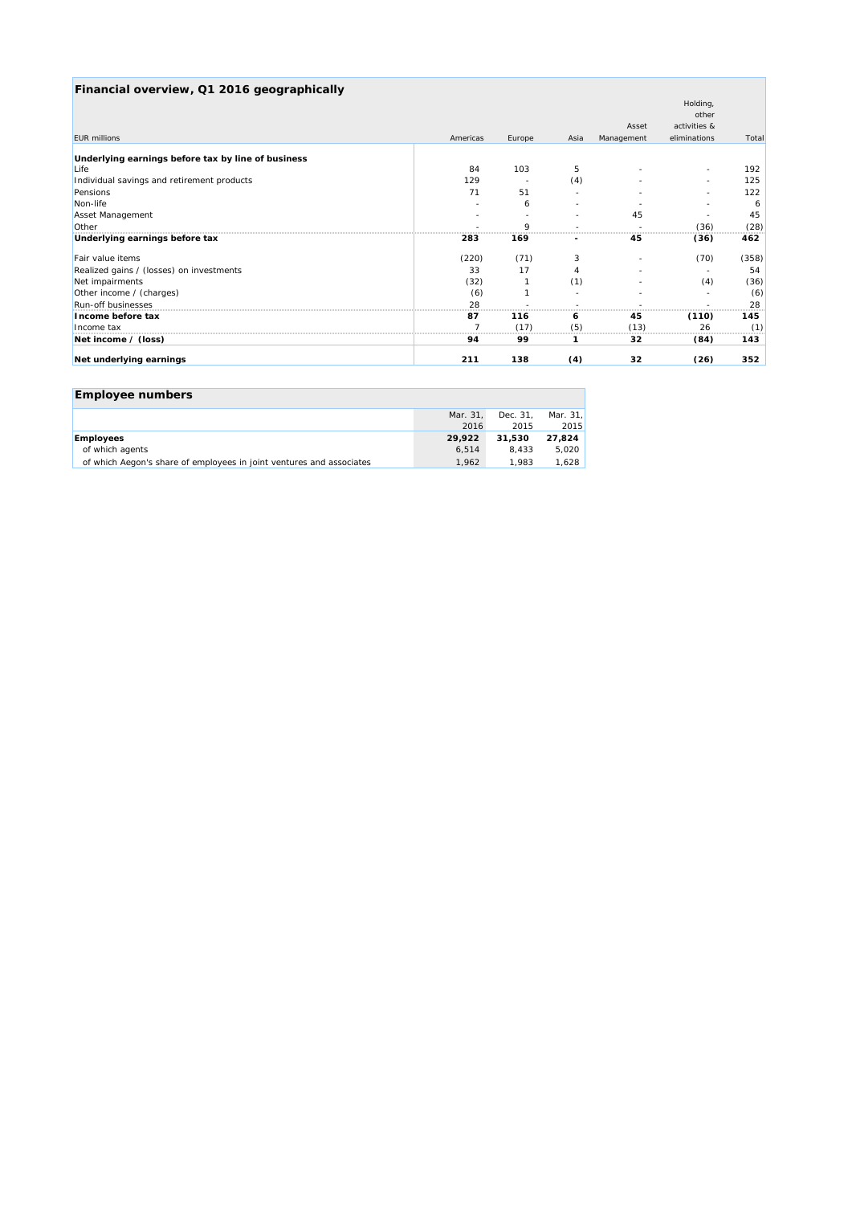| Financial overview, Q1 2016 geographically         |          |        |      |            |              |       |
|----------------------------------------------------|----------|--------|------|------------|--------------|-------|
|                                                    |          |        |      |            | Holding,     |       |
|                                                    |          |        |      |            | other        |       |
|                                                    |          |        |      | Asset      | activities & |       |
| <b>EUR</b> millions                                | Americas | Europe | Asia | Management | eliminations | Total |
| Underlying earnings before tax by line of business |          |        |      |            |              |       |
| Life                                               | 84       | 103    | 5    |            |              | 192   |
| Individual savings and retirement products         | 129      |        | (4)  |            |              | 125   |
| Pensions                                           | 71       | 51     |      |            |              | 122   |
| Non-life                                           |          | 6      |      |            |              | 6     |
| Asset Management                                   |          |        |      | 45         |              | 45    |
| Other                                              |          |        |      |            | (36)         | (28)  |
| Underlying earnings before tax                     | 283      | 169    |      | 45         | (36)         | 462   |
| Fair value items                                   | (220)    | (71)   | 3    |            | (70)         | (358) |
| Realized gains / (losses) on investments           | 33       | 17     | 4    |            |              | 54    |
| Net impairments                                    | (32)     |        | (1)  |            | (4)          | (36)  |
| Other income / (charges)                           | (6)      |        |      |            |              | (6)   |
| Run-off businesses                                 | 28<br>   |        |      |            |              | 28    |
| Income before tax                                  | 87       | 116    | 6    | 45         | (110)        | 145   |
| Income tax                                         |          | (17)   | (5)  | (13)       | 26           | (1)   |
| Net income $\prime$ (loss)                         | 94       | 99     |      | 32         | (84)         | 143   |
| Net underlying earnings                            | 211      | 138    | (4)  | 32         | (26)         | 352   |

## **Employee numbers**

|                                                                      | Mar. 31. | Dec. 31. | Mar. 31. |
|----------------------------------------------------------------------|----------|----------|----------|
|                                                                      | 2016     | 2015     | 2015     |
| <b>Employees</b>                                                     | 29,922   | 31.530   | 27.824   |
| of which agents                                                      | 6.514    | 8.433    | 5.020    |
| of which Aegon's share of employees in joint ventures and associates | 1.962    | 1.983    | 1.628    |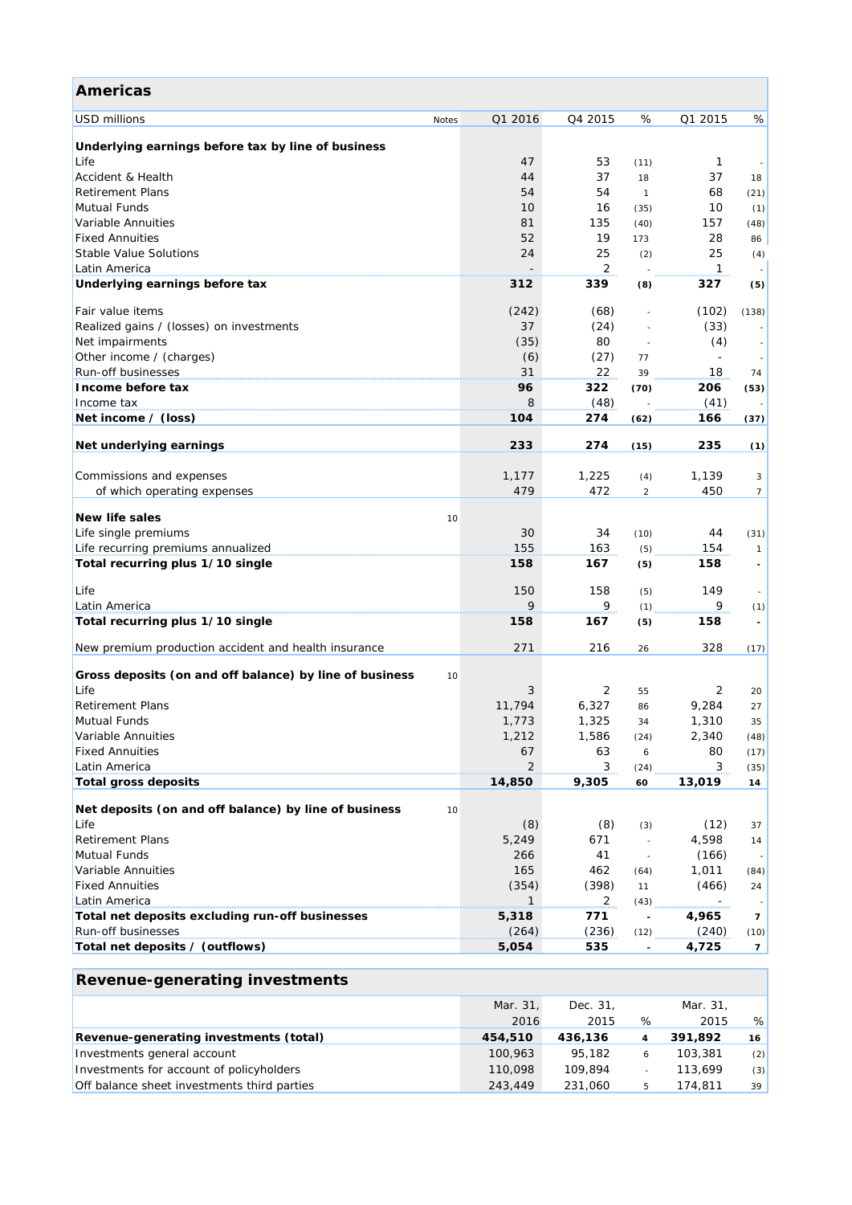| <b>Americas</b>                                               |                |                |                |                          |                |
|---------------------------------------------------------------|----------------|----------------|----------------|--------------------------|----------------|
| <b>USD millions</b><br>Notes                                  | Q1 2016        | Q4 2015        | %              | Q1 2015                  | %              |
| Underlying earnings before tax by line of business            |                |                |                |                          |                |
| Life                                                          | 47             | 53             | (11)           | $\mathbf{1}$             |                |
| Accident & Health                                             | 44             | 37             | 18             | 37                       | 18             |
| <b>Retirement Plans</b>                                       | 54             | 54             | $\mathcal{I}$  | 68                       | (21)           |
| <b>Mutual Funds</b>                                           | 10             | 16             | (35)           | 10                       | (1)            |
| Variable Annuities                                            | 81             | 135            | (40)           | 157                      | (48)           |
| <b>Fixed Annuities</b>                                        | 52             | 19             | 173            | 28                       | 86             |
| <b>Stable Value Solutions</b>                                 | 24             | 25             | (2)            | 25                       | (4)            |
| Latin America                                                 |                | $\overline{2}$ |                | 1                        |                |
| Underlying earnings before tax                                | 312            | 339            | (8)            | 327                      | (5)            |
| Fair value items                                              | (242)          | (68)           |                | (102)                    | (138)          |
| Realized gains / (losses) on investments                      | 37             | (24)           |                | (33)                     |                |
| Net impairments                                               | (35)           | 80             |                | (4)                      |                |
| Other income / (charges)                                      | (6)            | (27)           | 77             | $\overline{\phantom{a}}$ |                |
| Run-off businesses                                            | 31             | 22             | 39             | 18                       | 74             |
| Income before tax                                             | 96             | 322            | (70)           | 206                      | (53)           |
| Income tax                                                    | 8              | (48)           |                | (41)                     |                |
| Net income / (loss)                                           | 104            | 274            | (62)           | 166                      | (37)           |
|                                                               |                |                |                |                          |                |
| Net underlying earnings                                       | 233            | 274            | (15)           | 235                      | (1)            |
| Commissions and expenses                                      | 1,177          | 1,225          | (4)            | 1,139                    | 3              |
| of which operating expenses                                   | 479            | 472            | $\overline{c}$ | 450                      | $\overline{7}$ |
|                                                               |                |                |                |                          |                |
| <b>New life sales</b><br>10                                   |                |                |                |                          |                |
| Life single premiums                                          | 30             | 34             | (10)           | 44                       | (31)           |
| Life recurring premiums annualized                            | 155            | 163            | (5)            | 154                      | $\mathcal{I}$  |
| Total recurring plus 1/10 single                              | 158            | 167            | (5)            | 158                      |                |
| Life                                                          | 150            | 158            | (5)            | 149                      |                |
| Latin America                                                 | 9              | 9              | (1)            | 9                        | (1)            |
| Total recurring plus 1/10 single                              | 158            | 167            | (5)            | 158                      |                |
| New premium production accident and health insurance          | 271            | 216            | 26             | 328                      | (17)           |
| Gross deposits (on and off balance) by line of business<br>10 |                |                |                |                          |                |
| Life                                                          | 3              | 2              | 55             | 2                        | 20             |
| <b>Retirement Plans</b>                                       | 11,794         | 6,327          | 86             | 9,284                    | 27             |
| <b>Mutual Funds</b>                                           | 1,773          | 1.325          | 34             | 1,310                    | 35             |
| Variable Annuities                                            | 1,212          | 1,586          | (24)           | 2,340                    | (48)           |
| <b>Fixed Annuities</b>                                        | 67             | 63             | 6              | 80                       | (17)           |
| Latin America                                                 | $\overline{2}$ | 3              | (24)           | 3                        | (35)           |
| <b>Total gross deposits</b>                                   | 14,850         | 9,305          | 60             | 13,019                   | 14             |
| Net deposits (on and off balance) by line of business<br>10   |                |                |                |                          |                |
| Life                                                          | (8)            | (8)            | (3)            | (12)                     | 37             |
| <b>Retirement Plans</b>                                       | 5,249          | 671            |                | 4,598                    | 14             |
| Mutual Funds                                                  | 266            | 41             |                | (166)                    |                |
| Variable Annuities                                            | 165            | 462            | (64)           | 1,011                    | (84)           |
| <b>Fixed Annuities</b>                                        | (354)          | (398)          | 11             | (466)                    | 24             |
| Latin America                                                 | 1              | $\overline{2}$ | (43)           |                          |                |
| Total net deposits excluding run-off businesses               | 5,318          | 771            |                | 4,965                    | $\overline{z}$ |
| Run-off businesses                                            | (264)          | (236)          | (12)           | (240)                    | (10)           |
| Total net deposits / (outflows)                               | 5,054          | 535            |                | 4,725                    | $\overline{z}$ |
|                                                               |                |                |                |                          |                |

# **Revenue-generating investments**

|                                             | Mar. 31. | Dec. 31. |   | Mar. 31, |     |
|---------------------------------------------|----------|----------|---|----------|-----|
|                                             | 2016     | 2015     | % | 2015     | %   |
| Revenue-generating investments (total)      | 454,510  | 436.136  | 4 | 391.892  | 16  |
| Investments general account                 | 100,963  | 95,182   | 6 | 103,381  | (2) |
| Investments for account of policyholders    | 110.098  | 109.894  |   | 113,699  | (3) |
| Off balance sheet investments third parties | 243,449  | 231,060  |   | 174.811  | 39  |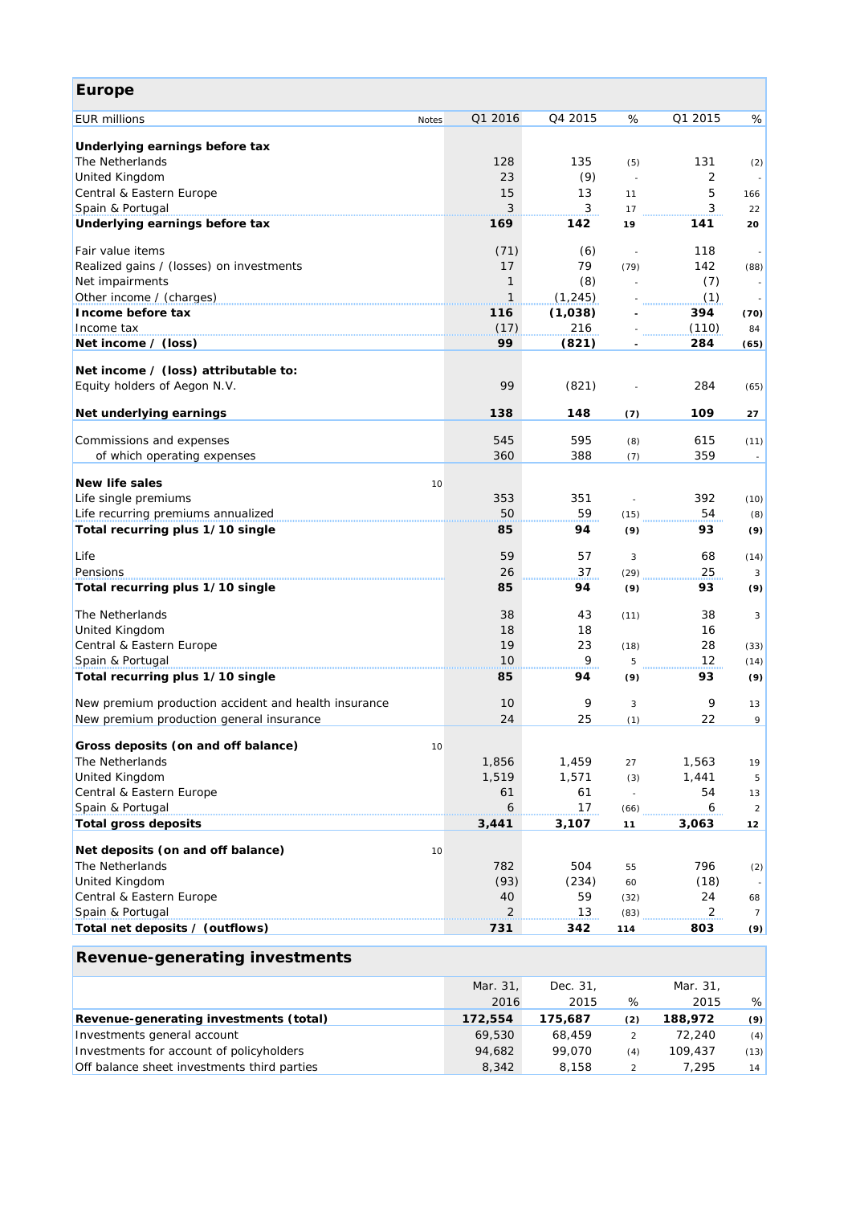| <b>Europe</b>                                        |                |          |                          |                |                             |
|------------------------------------------------------|----------------|----------|--------------------------|----------------|-----------------------------|
| <b>EUR millions</b><br>Notes                         | Q1 2016        | Q4 2015  | %                        | Q1 2015        | %                           |
|                                                      |                |          |                          |                |                             |
| Underlying earnings before tax<br>The Netherlands    | 128            | 135      | (5)                      | 131            | (2)                         |
| United Kingdom                                       | 23             | (9)      |                          | 2              |                             |
| Central & Eastern Europe                             | 15             | 13       | 11                       | 5              | 166                         |
| Spain & Portugal                                     | 3              | 3        | 17                       | 3<br>          | 22                          |
| Underlying earnings before tax                       | 169            | 142      | 19                       | 141            | 20                          |
| Fair value items                                     | (71)           | (6)      | $\overline{\phantom{a}}$ | 118            |                             |
| Realized gains / (losses) on investments             | 17             | 79       | (79)                     | 142            | (88)                        |
| Net impairments                                      | 1              | (8)      |                          | (7)            |                             |
| Other income / (charges)                             | 1              | (1, 245) |                          | (1)            |                             |
| Income before tax                                    | 116            | (1,038)  |                          | 394            | (70)                        |
| Income tax                                           | (17)           | 216      |                          | (110)          | 84                          |
| Net income / (loss)                                  | 99             | (821)    |                          | 284            | (65)                        |
| Net income / (loss) attributable to:                 |                |          |                          |                |                             |
| Equity holders of Aegon N.V.                         | 99             | (821)    |                          | 284            | (65)                        |
| Net underlying earnings                              | 138            | 148      | (7)                      | 109            | 27                          |
| Commissions and expenses                             | 545            | 595      | (8)                      | 615            | (11)                        |
| of which operating expenses                          | 360            | 388      | (7)                      | 359            | $\overline{\phantom{a}}$    |
|                                                      |                |          |                          |                |                             |
| <b>New life sales</b><br>10                          |                |          |                          |                |                             |
| Life single premiums                                 | 353            | 351      |                          | 392            | (10)                        |
| Life recurring premiums annualized                   | 50             | 59       | (15)                     | 54             | (8)                         |
| Total recurring plus 1/10 single                     | 85             | 94       | (9)                      | 93             | (9)                         |
| Life                                                 | 59             | 57       | 3                        | 68             | (14)                        |
| Pensions                                             | 26             | 37       | (29)                     | 25<br>         | 3                           |
| Total recurring plus 1/10 single                     | 85             | 94       | (9)                      | 93             | (9)                         |
| The Netherlands                                      | 38             | 43       | (11)                     | 38             | $\mathcal{Z}_{\mathcal{Z}}$ |
| United Kingdom                                       | 18             | 18       |                          | 16             |                             |
| Central & Eastern Europe                             | 19             | 23       | (18)                     | 28             | (33)                        |
| Spain & Portugal                                     | 10             | 9        | 5                        | 12             | (14)                        |
| Total recurring plus 1/10 single                     | 85             | 94       | (9)                      | 93             | (9)                         |
| New premium production accident and health insurance | 10             | 9        | 3                        | 9              | 13                          |
| New premium production general insurance             | 24             | 25       | (1)                      | 22             | 9                           |
| Gross deposits (on and off balance)<br>10            |                |          |                          |                |                             |
| The Netherlands                                      | 1,856          | 1,459    | 27                       | 1,563          | 19                          |
| United Kingdom                                       | 1,519          | 1,571    | (3)                      | 1,441          | 5                           |
| Central & Eastern Europe                             | 61             | 61       | $\bar{a}$                | 54             | 13                          |
| Spain & Portugal                                     | 6              | 17       | (66)                     | 6              | $\overline{2}$              |
| <b>Total gross deposits</b>                          | 3,441          | 3,107    | 11                       | 3,063          | 12                          |
| Net deposits (on and off balance)<br>10              |                |          |                          |                |                             |
| The Netherlands                                      | 782            | 504      | 55                       | 796            | (2)                         |
| United Kingdom                                       | (93)           | (234)    | 60                       | (18)           |                             |
| Central & Eastern Europe                             | 40             | 59       | (32)                     | 24             | 68                          |
| Spain & Portugal                                     | $\overline{2}$ | 13       | (83)                     | $\overline{2}$ | $\overline{7}$              |
| Total net deposits / (outflows)                      | 731            | 342      | 114                      | 803            | (9)                         |
| <b>Revenue-generating investments</b>                |                |          |                          |                |                             |
|                                                      | Mar. 31,       | Dec. 31, |                          | Mar. 31,       |                             |
|                                                      | 2016           | 2015     | %                        | 2015           | %                           |
| Revenue-generating investments (total)               | 172,554        | 175,687  | (2)                      | 188,972        | (9)                         |
| Investments general account                          | 69,530         | 68,459   | $\overline{c}$           | 72,240         | (4)                         |
| Investments for account of policyholders             | 94,682         | 99,070   | (4)                      | 109,437        | (13)                        |
| Off balance sheet investments third parties          | 8,342          | 8,158    | $\overline{2}$           | 7,295          | 14                          |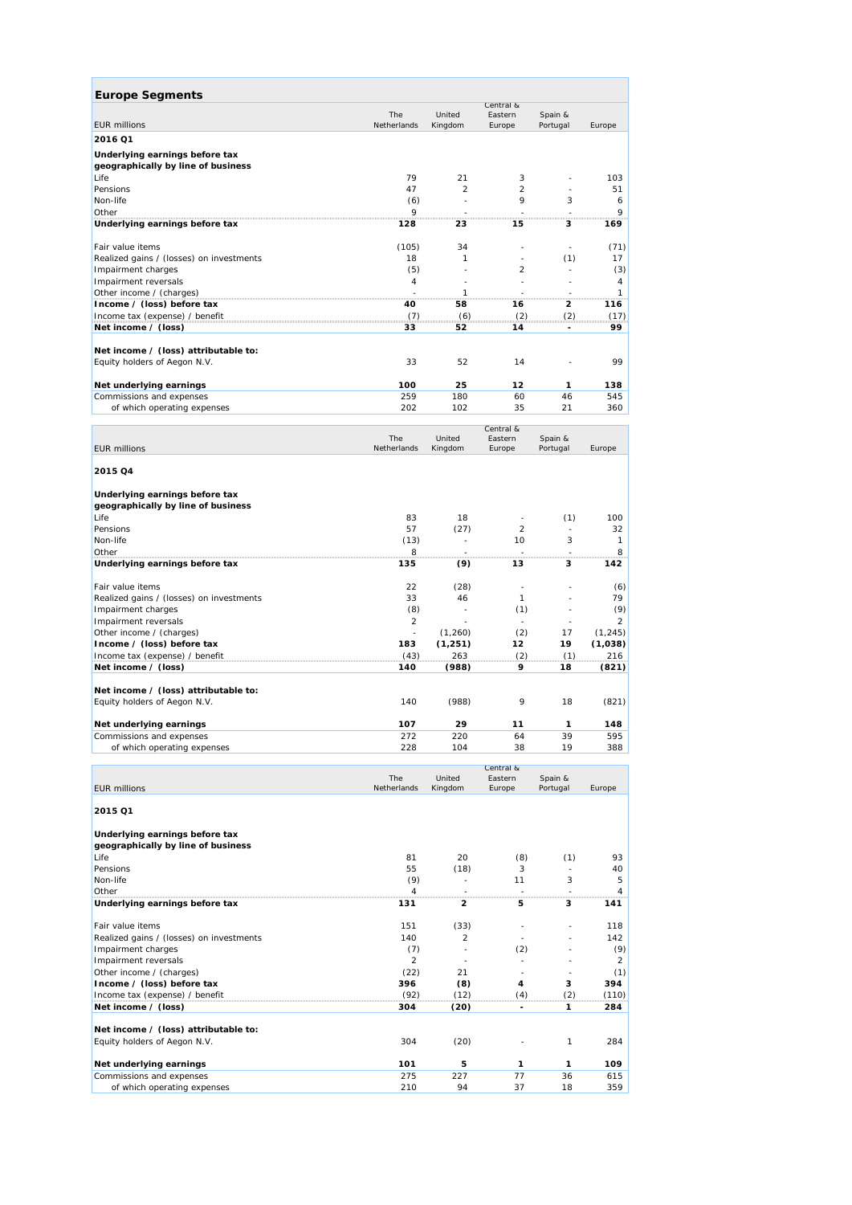| <b>Europe Segments</b>                                               |                    |                          |                      |                          |                     |
|----------------------------------------------------------------------|--------------------|--------------------------|----------------------|--------------------------|---------------------|
|                                                                      | The                | United                   | Central &<br>Eastern | Spain &                  |                     |
| <b>EUR</b> millions                                                  | Netherlands        | Kingdom                  | Europe               | Portugal                 | Europe              |
| 2016 Q1                                                              |                    |                          |                      |                          |                     |
| Underlying earnings before tax                                       |                    |                          |                      |                          |                     |
| geographically by line of business                                   | 79                 | 21                       | 3                    |                          |                     |
| Life<br>Pensions                                                     | 47                 | $\overline{2}$           | $\overline{2}$       | L,                       | 103<br>51           |
| Non-life                                                             | (6)                | ÷,                       | 9                    | 3                        | 6                   |
| Other                                                                | 9                  |                          |                      |                          | 9                   |
| Underlying earnings before tax                                       | 128                | 23                       | 15                   | 3                        | 169                 |
| Fair value items                                                     | (105)              | 34                       | L,                   | Ĭ.                       | (71)                |
| Realized gains / (losses) on investments                             | 18                 | 1                        | ä,                   | (1)                      | 17                  |
| Impairment charges                                                   | (5)                | ÷,                       | 2                    |                          | (3)                 |
| Impairment reversals                                                 | 4                  | 1                        | L,                   | L,                       | 4<br>$\mathbf{1}$   |
| Other income / (charges)<br>Income / (loss) before tax               | 40                 | 58                       | 16                   | 2                        | 116                 |
| Income tax (expense) / benefit                                       | (7)                | (6)                      | (2)                  | (2)                      | (17)                |
| Net income / (loss)                                                  | 33                 | 52                       | 14                   | $\overline{\phantom{a}}$ | 99                  |
| Net income / (loss) attributable to:                                 |                    |                          |                      |                          |                     |
| Equity holders of Aegon N.V.                                         | 33                 | 52                       | 14                   |                          | 99                  |
|                                                                      |                    |                          |                      |                          |                     |
| Net underlying earnings                                              | 100                | 25                       | 12                   | 1                        | 138                 |
| Commissions and expenses<br>of which operating expenses              | 259<br>202         | 180<br>102               | 60<br>35             | 46<br>21                 | 545<br>360          |
|                                                                      |                    |                          |                      |                          |                     |
|                                                                      | The                | United                   | Central &<br>Eastern | Spain &                  |                     |
| <b>EUR</b> millions                                                  | Netherlands        | Kingdom                  | Europe               | Portugal                 | Europe              |
| 2015 Q4                                                              |                    |                          |                      |                          |                     |
| Underlying earnings before tax                                       |                    |                          |                      |                          |                     |
| geographically by line of business                                   |                    |                          |                      |                          |                     |
| Life                                                                 | 83                 | 18                       | ٠                    | (1)                      | 100                 |
| Pensions<br>Non-life                                                 | 57<br>(13)         | (27)<br>$\overline{a}$   | $\overline{2}$<br>10 | 3                        | 32<br>1             |
| Other                                                                | 8                  |                          |                      |                          | 8                   |
| Underlying earnings before tax                                       | 135                | (9)                      | 13                   | з                        | 142                 |
| Fair value items                                                     | 22                 | (28)                     | ٠                    |                          | (6)                 |
| Realized gains / (losses) on investments                             | 33                 | 46                       | 1                    |                          | 79                  |
| Impairment charges                                                   | (8)                |                          | (1)                  |                          | (9)                 |
| Impairment reversals                                                 | 2                  |                          | $\overline{a}$       | ÷,                       | 2                   |
| Other income / (charges)<br>Income / (loss) before tax               | 183                | (1,260)<br>(1, 251)      | (2)<br>12            | 17<br>19                 | (1, 245)<br>(1,038) |
| Income tax (expense) / benefit                                       | (43)               | 263                      | (2)                  | (1)                      | 216                 |
| Net income / (loss)                                                  | 140                | (988)                    | 9                    | 18                       | (821)               |
|                                                                      |                    |                          |                      |                          |                     |
| Net income / (loss) attributable to:<br>Equity holders of Aegon N.V. | 140                | (988)                    | 9                    | 18                       | (821)               |
|                                                                      |                    |                          |                      |                          |                     |
| Net underlying earnings                                              | 107                | 29                       | 11                   | 1                        | 148                 |
| Commissions and expenses                                             | 272                | 220                      | 64                   | 39                       | 595                 |
| of which operating expenses                                          | 228                | 104                      | 38                   | 19                       | 388                 |
|                                                                      |                    |                          | Central &            |                          |                     |
| <b>EUR</b> millions                                                  | The<br>Netherlands | United<br>Kingdom        | Eastern<br>Europe    | Spain &<br>Portugal      | Europe              |
| 2015 Q1                                                              |                    |                          |                      |                          |                     |
| Underlying earnings before tax                                       |                    |                          |                      |                          |                     |
| geographically by line of business                                   |                    |                          |                      |                          |                     |
| Life                                                                 | 81                 | 20                       | (8)                  | (1)                      | 93                  |
| Pensions                                                             | 55                 | (18)                     | 3                    |                          | 40                  |
| Non-life<br>Other                                                    | (9)<br>4           | $\overline{\phantom{a}}$ | 11                   | 3                        | 5<br>$\overline{4}$ |
| Underlying earnings before tax                                       | 131                | $\mathbf{2}$             | 5                    | 3                        | 141                 |
|                                                                      |                    |                          |                      |                          |                     |
| Fair value items<br>Realized gains / (losses) on investments         | 151<br>140         | (33)<br>2                | ä,                   | J.<br>Ĭ.                 | 118<br>142          |
| Impairment charges                                                   | (7)                | ÷,                       | (2)                  | $\overline{a}$           | (9)                 |
| Impairment reversals                                                 | 2                  | $\overline{a}$           | ÷,                   | ÷,                       | 2                   |
| Other income / (charges)                                             | (22)               | 21                       | ÷,                   | L,                       | (1)                 |
| Income / (loss) before tax<br>Income tax (expense) / benefit         | 396<br>(92)        | (8)<br>(12)              | 4<br>(4)             | З<br>(2)                 | 394<br>(110)        |
| Net income / (loss)                                                  | 304                | (20)                     | $\blacksquare$       | 1                        | 284                 |
|                                                                      |                    |                          |                      |                          |                     |
| Net income / (loss) attributable to:                                 |                    |                          |                      |                          |                     |
| Equity holders of Aegon N.V.                                         | 304                | (20)                     |                      | 1                        | 284                 |
| Net underlying earnings                                              | 101                | 5                        | 1                    | 1                        | 109                 |
| Commissions and expenses                                             | 275                | 227                      | 77                   | 36                       | 615                 |
| of which operating expenses                                          | 210                | 94                       | 37                   | 18                       | 359                 |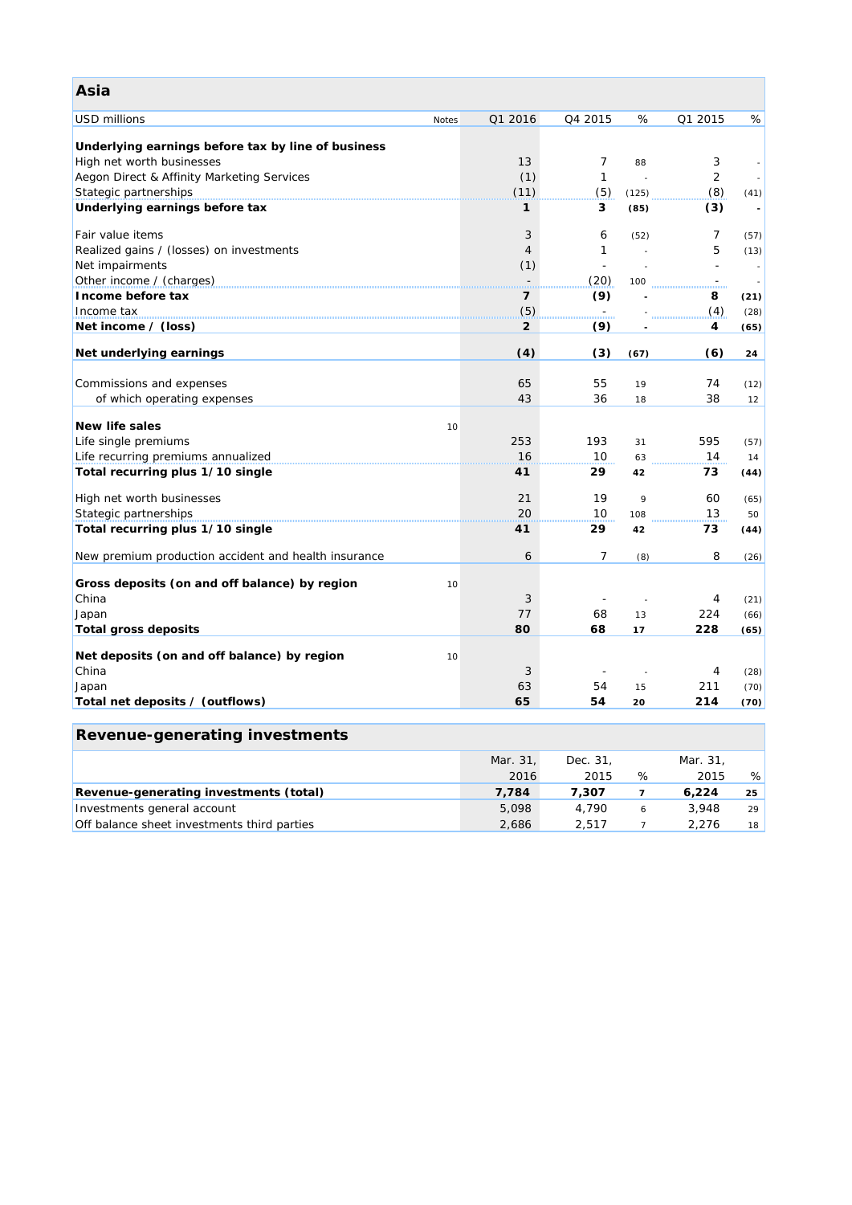| Asia                                                                |              |                          |                |       |                          |      |
|---------------------------------------------------------------------|--------------|--------------------------|----------------|-------|--------------------------|------|
| <b>USD millions</b>                                                 | <b>Notes</b> | Q1 2016                  | Q4 2015        | %     | Q1 2015                  | %    |
| Underlying earnings before tax by line of business                  |              |                          |                |       |                          |      |
| High net worth businesses                                           |              | 13                       | $\overline{7}$ | 88    | 3                        |      |
|                                                                     |              | (1)                      | $\mathbf{1}$   |       | $\overline{2}$           |      |
| Aegon Direct & Affinity Marketing Services<br>Stategic partnerships |              | (11)                     | (5)            |       | (8)                      |      |
|                                                                     |              | 1                        | 3              | (125) |                          | (41) |
| Underlying earnings before tax                                      |              |                          |                | (85)  | (3)                      |      |
| Fair value items                                                    |              | 3                        | 6              | (52)  | 7                        | (57) |
| Realized gains / (losses) on investments                            |              | $\overline{4}$           | $\mathbf{1}$   |       | 5                        | (13) |
| Net impairments                                                     |              | (1)                      |                |       |                          |      |
| Other income / (charges)                                            |              | $\sim$                   | (20)           | 100   | $\overline{\phantom{a}}$ |      |
| Income before tax                                                   |              | $\overline{\phantom{a}}$ | (9)            |       | 8                        | (21) |
| Income tax                                                          |              | (5)                      |                |       | (4)                      | (28) |
| Net income $\prime$ (loss)                                          |              | $\overline{2}$           | (9)            |       | 4                        | (65) |
| Net underlying earnings                                             |              | (4)                      | (3)            | (67)  | (6)                      | 24   |
|                                                                     |              |                          |                |       |                          |      |
| Commissions and expenses                                            |              | 65                       | 55             | 19    | 74                       | (12) |
| of which operating expenses                                         |              | 43                       | 36             | 18    | 38                       | 12   |
|                                                                     |              |                          |                |       |                          |      |
| <b>New life sales</b>                                               | 10           |                          |                |       |                          |      |
| Life single premiums                                                |              | 253                      | 193            | 31    | 595                      | (57) |
| Life recurring premiums annualized                                  |              | 16                       | 10             | 63    | 14                       | 14   |
| Total recurring plus 1/10 single                                    |              | 41                       | 29             | 42    | 73                       | (44) |
| High net worth businesses                                           |              | 21                       | 19             | 9     | 60                       | (65) |
| Stategic partnerships                                               |              | 20                       | 10             | 108   | 13                       | 50   |
| Total recurring plus 1/10 single                                    |              | 41                       | 29             | 42    | 73                       | (44) |
| New premium production accident and health insurance                |              | 6                        | $\overline{7}$ | (8)   | 8                        | (26) |
|                                                                     |              |                          |                |       |                          |      |
| Gross deposits (on and off balance) by region                       | 10           |                          |                |       |                          |      |
| China                                                               |              | 3                        |                |       | 4                        | (21) |
| Japan                                                               |              | 77                       | 68             | 13    | 224                      | (66) |
| <b>Total gross deposits</b>                                         |              | 80                       | 68             | 17    | 228                      | (65) |
|                                                                     |              |                          |                |       |                          |      |
| Net deposits (on and off balance) by region                         | 10           |                          |                |       |                          |      |
| China                                                               |              | 3                        |                |       | 4                        | (28) |
| Japan                                                               |              | 63                       | 54             | 15    | 211                      | (70) |
| Total net deposits / (outflows)                                     |              | 65                       | 54             | 20    | 214                      | (70) |
|                                                                     |              |                          |                |       |                          |      |
| <b>Revenue-generating investments</b>                               |              |                          |                |       |                          |      |
|                                                                     |              | Mar. 31.                 | Dec. 31.       |       | Mar. 31.                 |      |

and the control of the control of the control of the control of the control of the control of the control of the

|                                             | Mar. 31 | Dec. 31. |      | Mar. 31. |    |
|---------------------------------------------|---------|----------|------|----------|----|
|                                             | 2016    | 2015     | $\%$ | 2015     | %  |
| Revenue-generating investments (total)      | 7.784   | 7.307    |      | 6.224    | 25 |
| Investments general account                 | 5.098   | 4.790    | 6    | 3,948    | 29 |
| Off balance sheet investments third parties | 2.686   | 2.517    |      | 2.276    | 18 |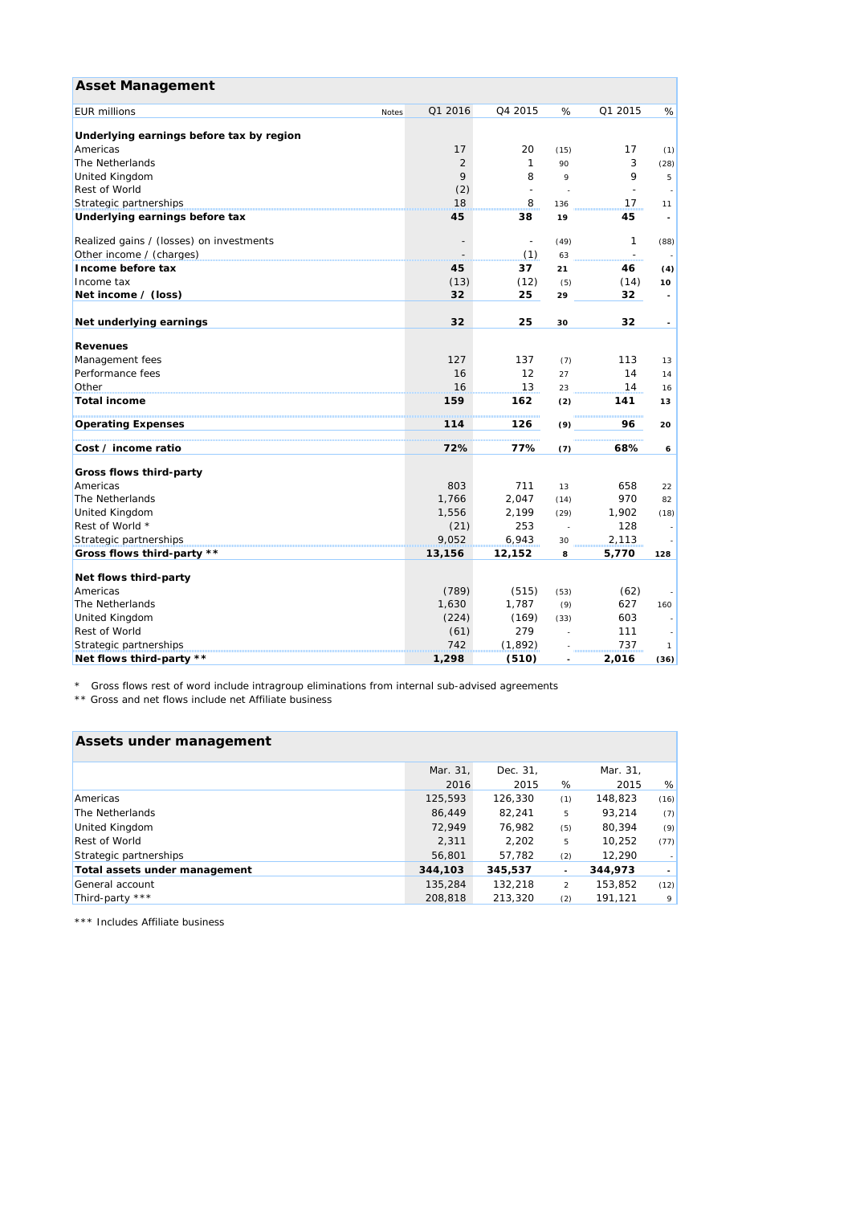| <b>Asset Management</b>                  |       |         |                          |        |         |                            |
|------------------------------------------|-------|---------|--------------------------|--------|---------|----------------------------|
| <b>EUR</b> millions                      | Notes | Q1 2016 | Q4 2015                  | %      | Q1 2015 | $\%$                       |
| Underlying earnings before tax by region |       |         |                          |        |         |                            |
| Americas                                 |       | 17      | 20                       | (15)   | 17      | (1)                        |
| The Netherlands                          |       | 2       | 1                        | 90     | 3       | (28)                       |
| United Kingdom                           |       | 9       | 8                        | 9      | 9       | 5                          |
| Rest of World                            |       | (2)     | $\sim$                   |        |         |                            |
| Strategic partnerships                   |       | 18      | 8                        | 136    | 17      | 11                         |
| Underlying earnings before tax           |       | 45      | 38                       | 19     | 45      | $\overline{\phantom{a}}$   |
| Realized gains / (losses) on investments |       |         | $\overline{\phantom{a}}$ | (49)   | 1       | (88)                       |
| Other income / (charges)                 |       |         | (1)                      | 63     | $\sim$  |                            |
| Income before tax                        |       | 45      | 37                       | 21     | 46      | (4)                        |
| Income tax                               |       | (13)    | (12)                     | (5)    | (14)    | 10                         |
| Net income / (loss)                      |       | 32      | 25                       | 29     | 32      |                            |
|                                          |       |         |                          |        |         |                            |
| Net underlying earnings                  |       | 32      | 25                       | 30     | 32      | $\overline{\phantom{a}}$   |
| <b>Revenues</b>                          |       |         |                          |        |         |                            |
| Management fees                          |       | 127     | 137                      | (7)    | 113     | 13                         |
| Performance fees                         |       | 16      | 12                       | 27     | 14      | 14                         |
| Other                                    |       | 16      | 13                       | 23     | 14      | 16                         |
| <b>Total income</b>                      |       | 159     | 162                      | (2)    | 141     | 13                         |
| <b>Operating Expenses</b>                |       | 114     | .<br>126                 | (9)    | 96      | 20                         |
|                                          |       |         |                          |        |         |                            |
| Cost / income ratio                      |       | 72%     | 77%                      | (7)    | 68%     | 6                          |
| Gross flows third-party                  |       |         |                          |        |         |                            |
| Americas                                 |       | 803     | 711                      | 13     | 658     | 22                         |
| The Netherlands                          |       | 1,766   | 2,047                    | (14)   | 970     | 82                         |
| United Kingdom                           |       | 1,556   | 2,199                    | (29)   | 1,902   | (18)                       |
| Rest of World *                          |       | (21)    | 253                      | $\sim$ | 128     |                            |
| Strategic partnerships                   |       | 9,052   | 6,943                    | 30     | 2,113   |                            |
| Gross flows third-party **               |       | 13,156  | 12,152                   | 8      | 5,770   | 128                        |
| Net flows third-party                    |       |         |                          |        |         |                            |
| Americas                                 |       | (789)   | (515)                    | (53)   | (62)    |                            |
| The Netherlands                          |       | 1,630   | 1,787                    | (9)    | 627     | 160                        |
| <b>United Kingdom</b>                    |       | (224)   | (169)                    | (33)   | 603     |                            |
| Rest of World                            |       | (61)    | 279                      |        | 111     |                            |
| Strategic partnerships                   |       | 742     | (1, 892)                 |        | 737     | $\boldsymbol{\mathcal{I}}$ |
| Net flows third-party **                 |       | 1,298   | (510)                    |        | 2,016   | (36)                       |

\* Gross flows rest of word include intragroup eliminations from internal sub-advised agreements

\*\* Gross and net flows include net Affiliate business

| Assets under management       |          |          |                          |          |                          |
|-------------------------------|----------|----------|--------------------------|----------|--------------------------|
|                               | Mar. 31. | Dec. 31. |                          | Mar. 31, |                          |
|                               | 2016     | 2015     | %                        | 2015     | %                        |
| Americas                      | 125.593  | 126.330  | (1)                      | 148,823  | (16)                     |
| The Netherlands               | 86.449   | 82.241   | 5                        | 93.214   | (7)                      |
| <b>United Kingdom</b>         | 72.949   | 76.982   | (5)                      | 80.394   | (9)                      |
| <b>Rest of World</b>          | 2.311    | 2.202    | 5                        | 10.252   | (77)                     |
| Strategic partnerships        | 56.801   | 57.782   | (2)                      | 12.290   |                          |
| Total assets under management | 344,103  | 345,537  | $\overline{\phantom{a}}$ | 344,973  | $\overline{\phantom{a}}$ |
| General account               | 135,284  | 132.218  | 2                        | 153.852  | (12)                     |
| Third-party ***               | 208.818  | 213.320  | (2)                      | 191.121  | 9                        |

\*\*\* Includes Affiliate business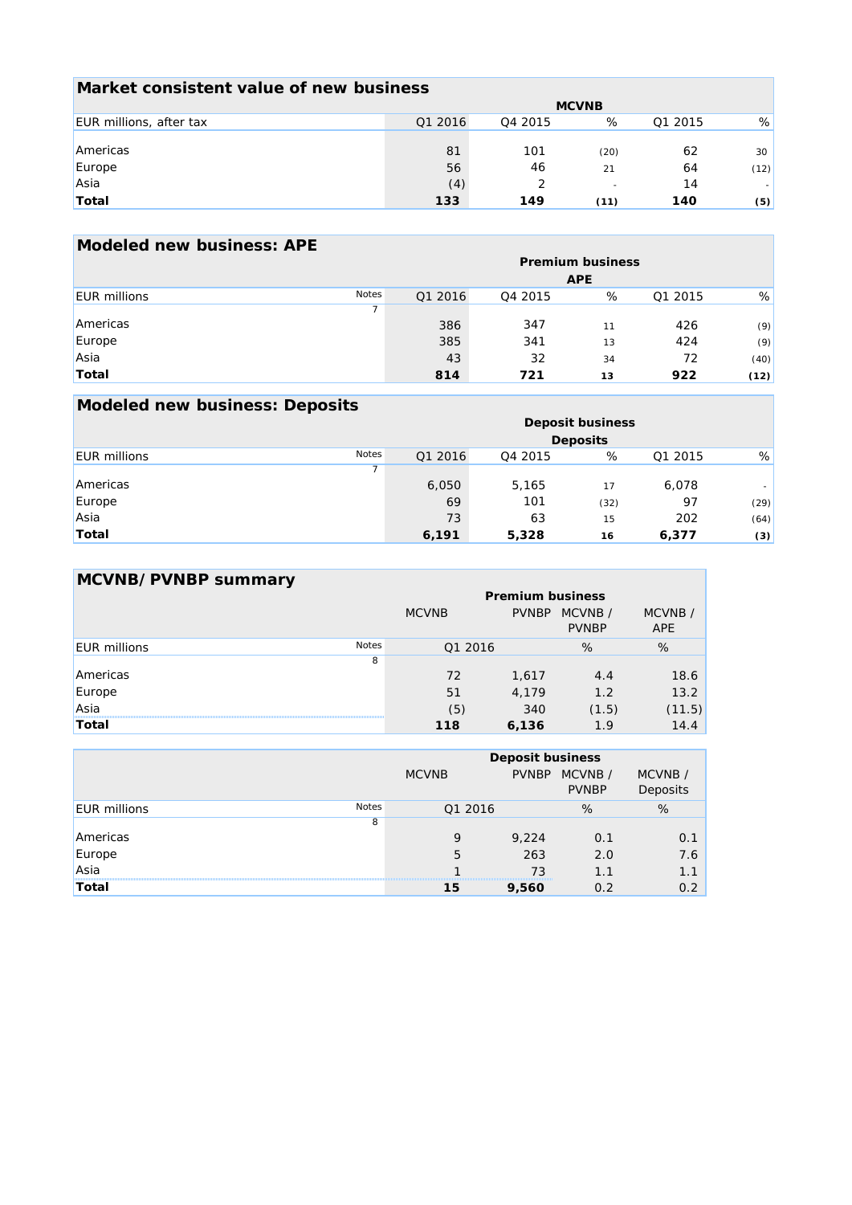| Market consistent value of new business |              |                     |      |         |      |  |  |  |
|-----------------------------------------|--------------|---------------------|------|---------|------|--|--|--|
|                                         | <b>MCVNB</b> |                     |      |         |      |  |  |  |
| EUR millions, after tax                 | Q1 2016      | O <sub>4</sub> 2015 | %    | 01 2015 | %    |  |  |  |
|                                         |              |                     |      |         |      |  |  |  |
| Americas                                | 81           | 101                 | (20) | 62      | 30   |  |  |  |
| Europe                                  | 56           | 46                  | 21   | 64      | (12) |  |  |  |
| Asia                                    | (4)          |                     |      | 14      |      |  |  |  |
| <b>Total</b>                            | 133          | 149                 | (11) | 140     | (5)  |  |  |  |

| <b>Modeled new business: APE</b> |              |         |         |                         |         |      |
|----------------------------------|--------------|---------|---------|-------------------------|---------|------|
|                                  |              |         |         | <b>Premium business</b> |         |      |
|                                  |              |         |         | <b>APE</b>              |         |      |
| <b>EUR</b> millions              | <b>Notes</b> | Q1 2016 | Q4 2015 | %                       | Q1 2015 | %    |
|                                  |              |         |         |                         |         |      |
| Americas                         |              | 386     | 347     | 11                      | 426     | (9)  |
| Europe                           |              | 385     | 341     | 13                      | 424     | (9)  |
| Asia                             |              | 43      | 32      | 34                      | 72      | (40) |
| Total                            |              | 814     | 721     | 13                      | 922     | (12) |

| <b>Modeled new business: Deposits</b> |              |                 |         |                         |         |      |  |  |
|---------------------------------------|--------------|-----------------|---------|-------------------------|---------|------|--|--|
|                                       |              |                 |         | <b>Deposit business</b> |         |      |  |  |
|                                       |              | <b>Deposits</b> |         |                         |         |      |  |  |
| <b>EUR</b> millions                   | <b>Notes</b> | Q1 2016         | Q4 2015 | %                       | Q1 2015 | %    |  |  |
|                                       |              |                 |         |                         |         |      |  |  |
| Americas                              |              | 6,050           | 5,165   | 17                      | 6,078   |      |  |  |
| Europe                                |              | 69              | 101     | (32)                    | 97      | (29) |  |  |
| Asia                                  |              | 73              | 63      | 15                      | 202     | (64) |  |  |
| <b>Total</b>                          |              | 6,191           | 5,328   | 16                      | 6,377   | (3)  |  |  |

| MCVNB/PVNBP summary |              |                         |              |                         |                       |  |  |  |
|---------------------|--------------|-------------------------|--------------|-------------------------|-----------------------|--|--|--|
|                     |              | <b>Premium business</b> |              |                         |                       |  |  |  |
|                     |              | <b>MCVNB</b>            | <b>PVNBP</b> | MCVNB /<br><b>PVNBP</b> | MCVNB /<br><b>APE</b> |  |  |  |
| <b>EUR</b> millions | <b>Notes</b> | Q1 2016                 |              | %                       | %                     |  |  |  |
|                     | 8            |                         |              |                         |                       |  |  |  |
| Americas            |              | 72                      | 1,617        | 4.4                     | 18.6                  |  |  |  |
| Europe<br>Asia      |              | 51                      | 4,179        | 1.2                     | 13.2                  |  |  |  |
|                     |              | (5)                     | 340          | (1.5)                   | (11.5)                |  |  |  |
| <b>Total</b>        |              | 118                     | 6,136        | 1.9                     | 14.4                  |  |  |  |

|                     |              | <b>Deposit business</b> |              |                         |                     |  |  |
|---------------------|--------------|-------------------------|--------------|-------------------------|---------------------|--|--|
|                     |              | <b>MCVNB</b>            | <b>PVNBP</b> | MCVNB /<br><b>PVNBP</b> | MCVNB /<br>Deposits |  |  |
|                     |              |                         |              |                         |                     |  |  |
| <b>EUR</b> millions | <b>Notes</b> | Q1 2016                 |              | %                       | %                   |  |  |
|                     | 8            |                         |              |                         |                     |  |  |
| Americas            |              | 9                       | 9,224        | 0.1                     | 0.1                 |  |  |
| Europe<br>Asia      |              | 5                       | 263          | 2.0                     | 7.6                 |  |  |
|                     |              |                         | 73           | 1.1                     | 1.1                 |  |  |
| Total               |              | 15                      | 9,560        | 0.2                     | 0.2                 |  |  |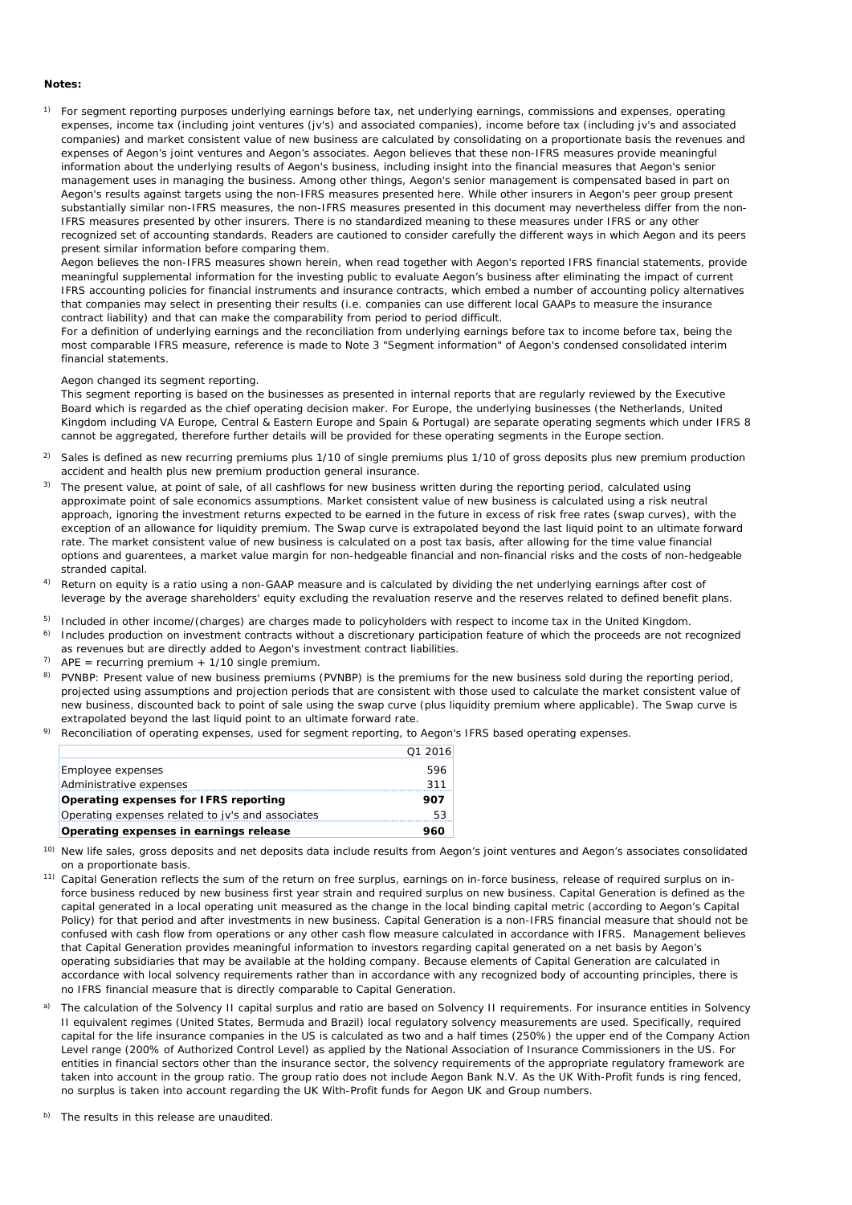### **Notes:**

1) For segment reporting purposes underlying earnings before tax, net underlying earnings, commissions and expenses, operating expenses, income tax (including joint ventures (jv's) and associated companies), income before tax (including jv's and associated companies) and market consistent value of new business are calculated by consolidating on a proportionate basis the revenues and expenses of Aegon's joint ventures and Aegon's associates. Aegon believes that these non-IFRS measures provide meaningful information about the underlying results of Aegon's business, including insight into the financial measures that Aegon's senior management uses in managing the business. Among other things, Aegon's senior management is compensated based in part on Aegon's results against targets using the non-IFRS measures presented here. While other insurers in Aegon's peer group present substantially similar non-IFRS measures, the non-IFRS measures presented in this document may nevertheless differ from the non-IFRS measures presented by other insurers. There is no standardized meaning to these measures under IFRS or any other recognized set of accounting standards. Readers are cautioned to consider carefully the different ways in which Aegon and its peers present similar information before comparing them.

Aegon believes the non-IFRS measures shown herein, when read together with Aegon's reported IFRS financial statements, provide meaningful supplemental information for the investing public to evaluate Aegon's business after eliminating the impact of current IFRS accounting policies for financial instruments and insurance contracts, which embed a number of accounting policy alternatives that companies may select in presenting their results (i.e. companies can use different local GAAPs to measure the insurance contract liability) and that can make the comparability from period to period difficult.

For a definition of underlying earnings and the reconciliation from underlying earnings before tax to income before tax, being the most comparable IFRS measure, reference is made to Note 3 "Segment information" of Aegon's condensed consolidated interim financial statements.

Aegon changed its segment reporting.

This segment reporting is based on the businesses as presented in internal reports that are regularly reviewed by the Executive Board which is regarded as the chief operating decision maker. For Europe, the underlying businesses (the Netherlands, United Kingdom including VA Europe, Central & Eastern Europe and Spain & Portugal) are separate operating segments which under IFRS 8 cannot be aggregated, therefore further details will be provided for these operating segments in the Europe section.

- 2) Sales is defined as new recurring premiums plus 1/10 of single premiums plus 1/10 of gross deposits plus new premium production accident and health plus new premium production general insurance.
- $2)$ The present value, at point of sale, of all cashflows for new business written during the reporting period, calculated using approximate point of sale economics assumptions. Market consistent value of new business is calculated using a risk neutral approach, ignoring the investment returns expected to be earned in the future in excess of risk free rates (swap curves), with the exception of an allowance for liquidity premium. The Swap curve is extrapolated beyond the last liquid point to an ultimate forward rate. The market consistent value of new business is calculated on a post tax basis, after allowing for the time value financial options and guarentees, a market value margin for non-hedgeable financial and non-financial risks and the costs of non-hedgeable stranded capital.
- 4) Return on equity is a ratio using a non-GAAP measure and is calculated by dividing the net underlying earnings after cost of leverage by the average shareholders' equity excluding the revaluation reserve and the reserves related to defined benefit plans.
- 5) Included in other income/(charges) are charges made to policyholders with respect to income tax in the United Kingdom.
- 6) Includes production on investment contracts without a discretionary participation feature of which the proceeds are not recognized as revenues but are directly added to Aegon's investment contract liabilities.
- 7)  $APE = recurring premium + 1/10 single premium$ .
- 8) PVNBP: Present value of new business premiums (PVNBP) is the premiums for the new business sold during the reporting period, projected using assumptions and projection periods that are consistent with those used to calculate the market consistent value of new business, discounted back to point of sale using the swap curve (plus liquidity premium where applicable). The Swap curve is extrapolated beyond the last liquid point to an ultimate forward rate.
- 9) Reconciliation of operating expenses, used for segment reporting, to Aegon's IFRS based operating expenses.

|                                                   | Q1 2016 |
|---------------------------------------------------|---------|
| Employee expenses                                 | 596     |
| Administrative expenses                           | 311     |
| Operating expenses for IFRS reporting             | 907     |
| Operating expenses related to jv's and associates | 53      |
| Operating expenses in earnings release            |         |

- <sup>10)</sup> New life sales, gross deposits and net deposits data include results from Aegon's joint ventures and Aegon's associates consolidated on a proportionate basis.
- <sup>11)</sup> Capital Generation reflects the sum of the return on free surplus, earnings on in-force business, release of required surplus on inforce business reduced by new business first year strain and required surplus on new business. Capital Generation is defined as the capital generated in a local operating unit measured as the change in the local binding capital metric (according to Aegon's Capital Policy) for that period and after investments in new business. Capital Generation is a non-IFRS financial measure that should not be confused with cash flow from operations or any other cash flow measure calculated in accordance with IFRS. Management believes that Capital Generation provides meaningful information to investors regarding capital generated on a net basis by Aegon's operating subsidiaries that may be available at the holding company. Because elements of Capital Generation are calculated in accordance with local solvency requirements rather than in accordance with any recognized body of accounting principles, there is no IFRS financial measure that is directly comparable to Capital Generation.
- a) The calculation of the Solvency II capital surplus and ratio are based on Solvency II requirements. For insurance entities in Solvency II equivalent regimes (United States, Bermuda and Brazil) local regulatory solvency measurements are used. Specifically, required capital for the life insurance companies in the US is calculated as two and a half times (250%) the upper end of the Company Action Level range (200% of Authorized Control Level) as applied by the National Association of Insurance Commissioners in the US. For entities in financial sectors other than the insurance sector, the solvency requirements of the appropriate regulatory framework are taken into account in the group ratio. The group ratio does not include Aegon Bank N.V. As the UK With-Profit funds is ring fenced, no surplus is taken into account regarding the UK With-Profit funds for Aegon UK and Group numbers.
- b) The results in this release are unaudited.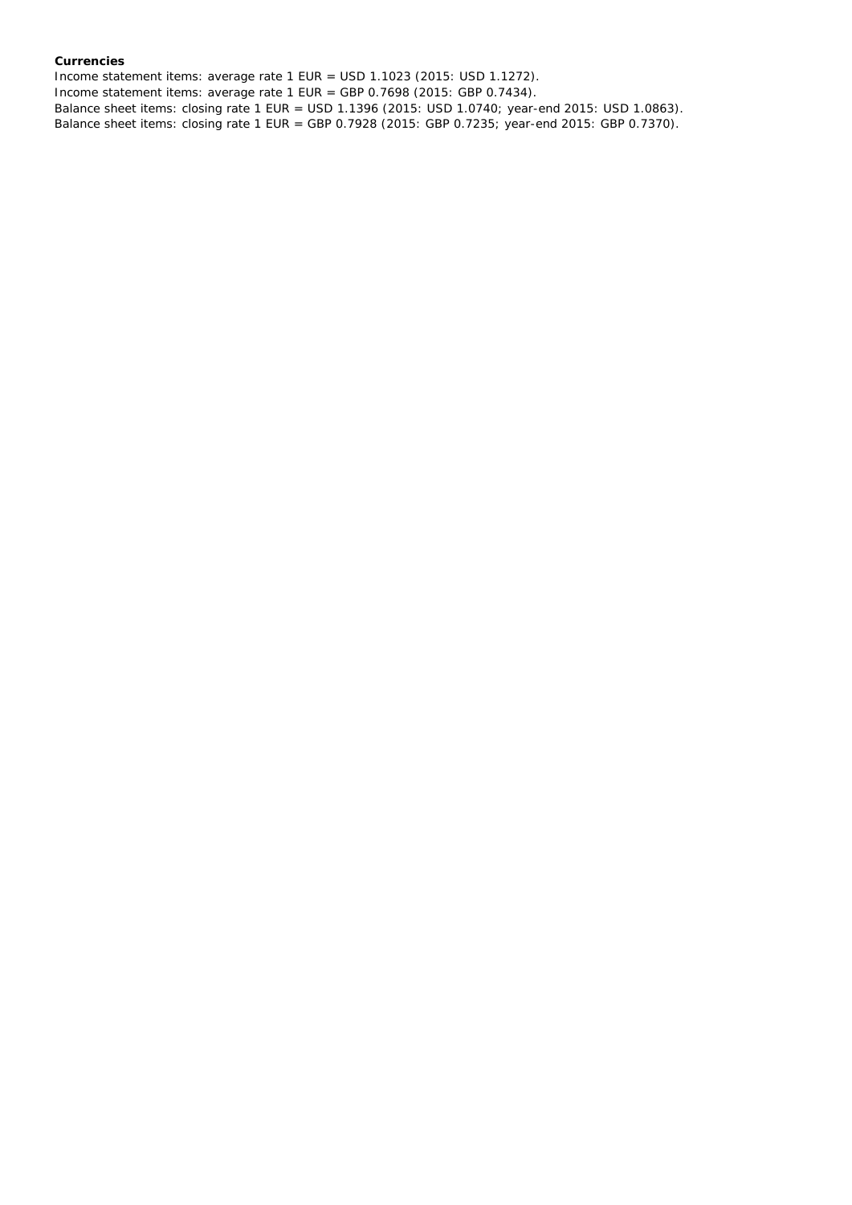### **Currencies**

Income statement items: average rate 1 EUR = USD 1.1023 (2015: USD 1.1272). Income statement items: average rate 1 EUR = GBP 0.7698 (2015: GBP 0.7434). Balance sheet items: closing rate 1 EUR = USD 1.1396 (2015: USD 1.0740; year-end 2015: USD 1.0863). Balance sheet items: closing rate 1 EUR = GBP 0.7928 (2015: GBP 0.7235; year-end 2015: GBP 0.7370).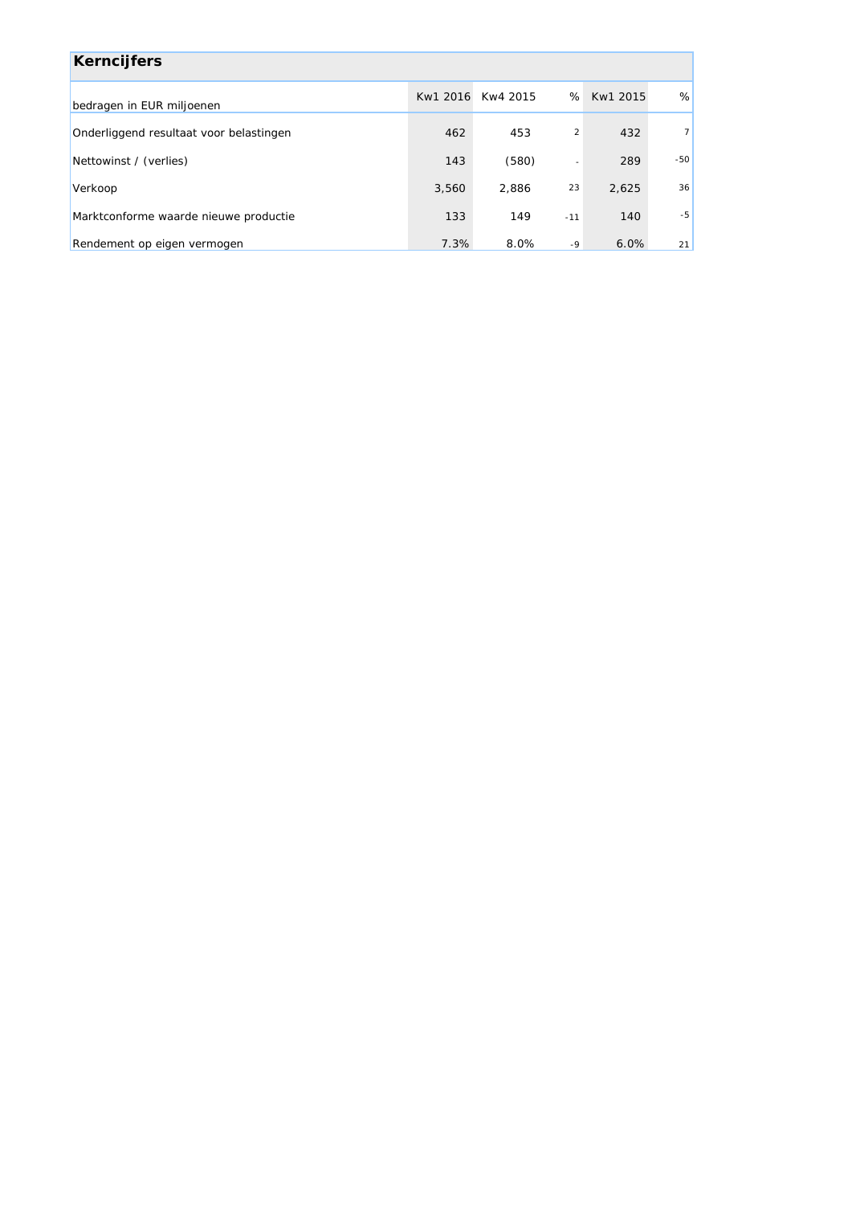| <b>Kerncijfers</b>                      |       |                   |       |            |                |
|-----------------------------------------|-------|-------------------|-------|------------|----------------|
| bedragen in EUR miljoenen               |       | Kw1 2016 Kw4 2015 |       | % Kw1 2015 | %              |
| Onderliggend resultaat voor belastingen | 462   | 453               | 2     | 432        | $\overline{z}$ |
| Nettowinst / (verlies)                  | 143   | (580)             |       | 289        | $-50$          |
| Verkoop                                 | 3,560 | 2,886             | 23    | 2,625      | 36             |
| Marktconforme waarde nieuwe productie   | 133   | 149               | $-11$ | 140        | $-5$           |
| Rendement op eigen vermogen             | 7.3%  | 8.0%              | -9    | 6.0%       | 21             |